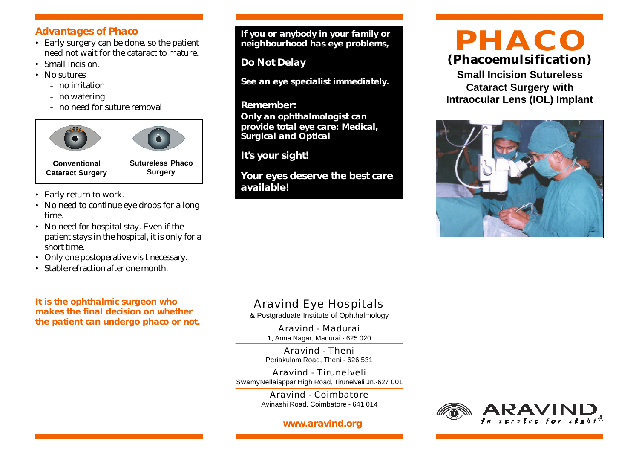#### **Advantages of Phaco**

- Early surgery can be done, so the patient need not wait for the cataract to mature.
- Small incision.
- No sutures
	- no irritation
	- no watering
	- no need for suture removal





**Conventional Cataract Surgery** **Sutureless Phaco Surgery**

- Early return to work.
- No need to continue eye drops for a long time.
- No need for hospital stay. Even if the patient stays in the hospital, it is only for a short time.
- Only one postoperative visit necessary.
- Stable refraction after one month.

**It is the ophthalmic surgeon who makes the final decision on whether the patient can undergo phaco or not.**

**If you or anybody in your family or neighbourhood has eye problems,**

**Do Not Delay**

**See an eye specialist immediately.**

#### **Remember:**

**Only an ophthalmologist can provide total eye care: Medical, Surgical and Optical**

**It's your sight!**

**Your eyes deserve the best care available!**

# **(Phacoemulsification) PHACO**

**Small Incision Sutureless Cataract Surgery with Intraocular Lens (IOL) Implant**



# Aravind Eye Hospitals

& Postgraduate Institute of Ophthalmology

Aravind - Madurai 1, Anna Nagar, Madurai - 625 020

Aravind - Theni Periakulam Road, Theni - 626 531

Aravind - Tirunelveli SwamyNellaiappar High Road, Tirunelveli Jn.-627 001

> Aravind - Coimbatore Avinashi Road, Coimbatore - 641 014

#### **www.aravind.org**